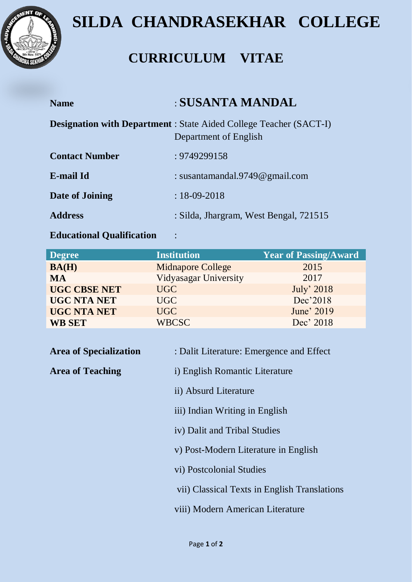

## **SILDA CHANDRASEKHAR COLLEGE**

## **CURRICULUM VITAE**

| <b>Name</b>           | : SUSANTA MANDAL                                                                                   |
|-----------------------|----------------------------------------------------------------------------------------------------|
|                       | <b>Designation with Department</b> : State Aided College Teacher (SACT-I)<br>Department of English |
| <b>Contact Number</b> | : 9749299158                                                                                       |
| E-mail Id             | : susantamandal.9749 $@$ gmail.com                                                                 |
| Date of Joining       | $: 18 - 09 - 2018$                                                                                 |
| <b>Address</b>        | : Silda, Jhargram, West Bengal, 721515                                                             |

## **Educational Qualification** :

| <b>Degree</b>       | <b>Institution</b>       | <b>Year of Passing/Award</b> |
|---------------------|--------------------------|------------------------------|
| BA(H)               | <b>Midnapore College</b> | 2015                         |
| <b>MA</b>           | Vidyasagar University    | 2017                         |
| <b>UGC CBSE NET</b> | UGC                      | July' 2018                   |
| <b>UGC NTA NET</b>  | UGC                      | Dec'2018                     |
| <b>UGC NTA NET</b>  | UGC                      | June' 2019                   |
| <b>WB SET</b>       | <b>WBCSC</b>             | Dec' 2018                    |

| <b>Area of Specialization</b> | : Dalit Literature: Emergence and Effect     |
|-------------------------------|----------------------------------------------|
| <b>Area of Teaching</b>       | i) English Romantic Literature               |
|                               | ii) Absurd Literature                        |
|                               | iii) Indian Writing in English               |
|                               | iv) Dalit and Tribal Studies                 |
|                               | v) Post-Modern Literature in English         |
|                               | vi) Postcolonial Studies                     |
|                               | vii) Classical Texts in English Translations |
|                               | viii) Modern American Literature             |